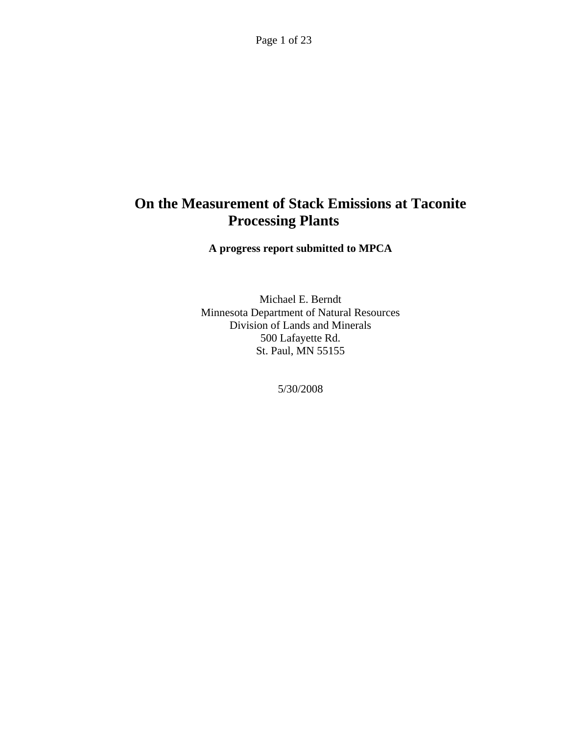Page 1 of 23

# **On the Measurement of Stack Emissions at Taconite Processing Plants**

**A progress report submitted to MPCA** 

Michael E. Berndt Minnesota Department of Natural Resources Division of Lands and Minerals 500 Lafayette Rd. St. Paul, MN 55155

5/30/2008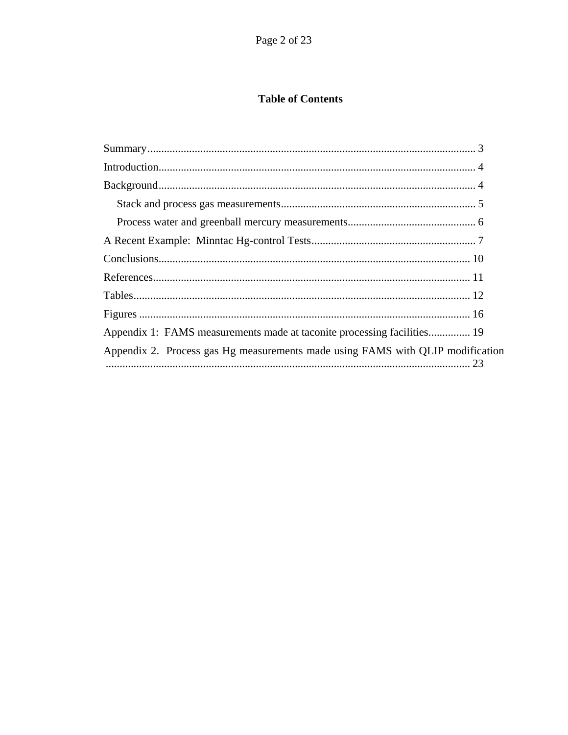## **Table of Contents**

| Appendix 1: FAMS measurements made at taconite processing facilities 19        |
|--------------------------------------------------------------------------------|
| Appendix 2. Process gas Hg measurements made using FAMS with QLIP modification |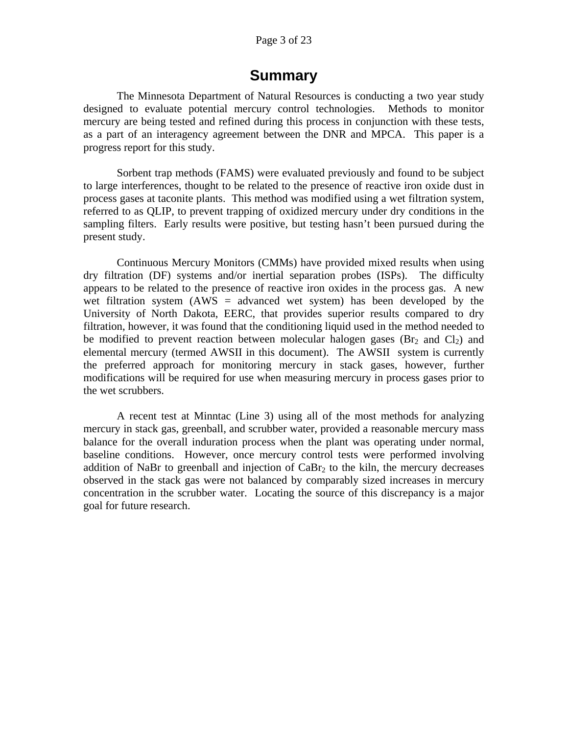#### Page 3 of 23

## **Summary**

<span id="page-2-0"></span>The Minnesota Department of Natural Resources is conducting a two year study designed to evaluate potential mercury control technologies. Methods to monitor mercury are being tested and refined during this process in conjunction with these tests, as a part of an interagency agreement between the DNR and MPCA. This paper is a progress report for this study.

Sorbent trap methods (FAMS) were evaluated previously and found to be subject to large interferences, thought to be related to the presence of reactive iron oxide dust in process gases at taconite plants. This method was modified using a wet filtration system, referred to as QLIP, to prevent trapping of oxidized mercury under dry conditions in the sampling filters. Early results were positive, but testing hasn't been pursued during the present study.

Continuous Mercury Monitors (CMMs) have provided mixed results when using dry filtration (DF) systems and/or inertial separation probes (ISPs). The difficulty appears to be related to the presence of reactive iron oxides in the process gas. A new wet filtration system  $(AWS = advanced wet system)$  has been developed by the University of North Dakota, EERC, that provides superior results compared to dry filtration, however, it was found that the conditioning liquid used in the method needed to be modified to prevent reaction between molecular halogen gases ( $Br<sub>2</sub>$  and  $Cl<sub>2</sub>$ ) and elemental mercury (termed AWSII in this document). The AWSII system is currently the preferred approach for monitoring mercury in stack gases, however, further modifications will be required for use when measuring mercury in process gases prior to the wet scrubbers.

A recent test at Minntac (Line 3) using all of the most methods for analyzing mercury in stack gas, greenball, and scrubber water, provided a reasonable mercury mass balance for the overall induration process when the plant was operating under normal, baseline conditions. However, once mercury control tests were performed involving addition of NaBr to greenball and injection of  $CaBr<sub>2</sub>$  to the kiln, the mercury decreases observed in the stack gas were not balanced by comparably sized increases in mercury concentration in the scrubber water. Locating the source of this discrepancy is a major goal for future research.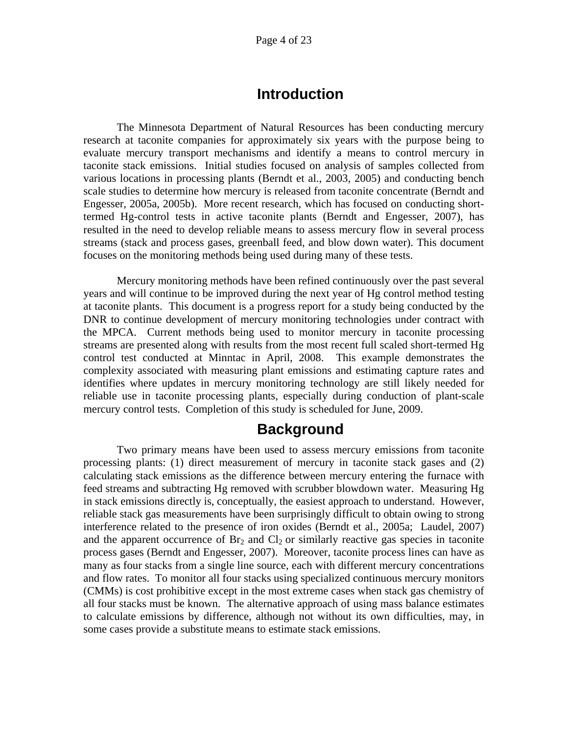## **Introduction**

<span id="page-3-0"></span>The Minnesota Department of Natural Resources has been conducting mercury research at taconite companies for approximately six years with the purpose being to evaluate mercury transport mechanisms and identify a means to control mercury in taconite stack emissions. Initial studies focused on analysis of samples collected from various locations in processing plants (Berndt et al., 2003, 2005) and conducting bench scale studies to determine how mercury is released from taconite concentrate (Berndt and Engesser, 2005a, 2005b). More recent research, which has focused on conducting shorttermed Hg-control tests in active taconite plants (Berndt and Engesser, 2007), has resulted in the need to develop reliable means to assess mercury flow in several process streams (stack and process gases, greenball feed, and blow down water). This document focuses on the monitoring methods being used during many of these tests.

Mercury monitoring methods have been refined continuously over the past several years and will continue to be improved during the next year of Hg control method testing at taconite plants. This document is a progress report for a study being conducted by the DNR to continue development of mercury monitoring technologies under contract with the MPCA. Current methods being used to monitor mercury in taconite processing streams are presented along with results from the most recent full scaled short-termed Hg control test conducted at Minntac in April, 2008. This example demonstrates the complexity associated with measuring plant emissions and estimating capture rates and identifies where updates in mercury monitoring technology are still likely needed for reliable use in taconite processing plants, especially during conduction of plant-scale mercury control tests. Completion of this study is scheduled for June, 2009.

## **Background**

<span id="page-3-1"></span>Two primary means have been used to assess mercury emissions from taconite processing plants: (1) direct measurement of mercury in taconite stack gases and (2) calculating stack emissions as the difference between mercury entering the furnace with feed streams and subtracting Hg removed with scrubber blowdown water. Measuring Hg in stack emissions directly is, conceptually, the easiest approach to understand. However, reliable stack gas measurements have been surprisingly difficult to obtain owing to strong interference related to the presence of iron oxides (Berndt et al., 2005a; Laudel, 2007) and the apparent occurrence of  $\text{Br}_2$  and  $\text{Cl}_2$  or similarly reactive gas species in taconite process gases (Berndt and Engesser, 2007). Moreover, taconite process lines can have as many as four stacks from a single line source, each with different mercury concentrations and flow rates. To monitor all four stacks using specialized continuous mercury monitors (CMMs) is cost prohibitive except in the most extreme cases when stack gas chemistry of all four stacks must be known. The alternative approach of using mass balance estimates to calculate emissions by difference, although not without its own difficulties, may, in some cases provide a substitute means to estimate stack emissions.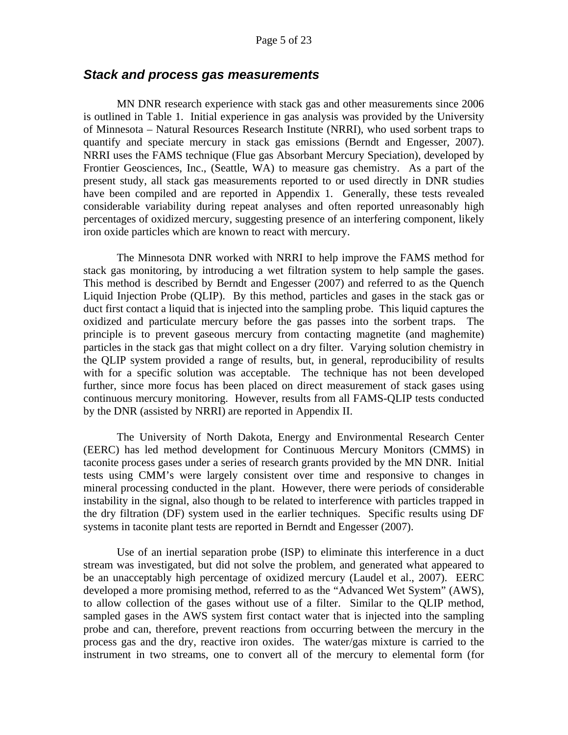#### <span id="page-4-0"></span>*Stack and process gas measurements*

MN DNR research experience with stack gas and other measurements since 2006 is outlined in Table 1. Initial experience in gas analysis was provided by the University of Minnesota – Natural Resources Research Institute (NRRI), who used sorbent traps to quantify and speciate mercury in stack gas emissions (Berndt and Engesser, 2007). NRRI uses the FAMS technique (Flue gas Absorbant Mercury Speciation), developed by Frontier Geosciences, Inc., (Seattle, WA) to measure gas chemistry. As a part of the present study, all stack gas measurements reported to or used directly in DNR studies have been compiled and are reported in Appendix 1. Generally, these tests revealed considerable variability during repeat analyses and often reported unreasonably high percentages of oxidized mercury, suggesting presence of an interfering component, likely iron oxide particles which are known to react with mercury.

The Minnesota DNR worked with NRRI to help improve the FAMS method for stack gas monitoring, by introducing a wet filtration system to help sample the gases. This method is described by Berndt and Engesser (2007) and referred to as the Quench Liquid Injection Probe (QLIP). By this method, particles and gases in the stack gas or duct first contact a liquid that is injected into the sampling probe. This liquid captures the oxidized and particulate mercury before the gas passes into the sorbent traps. The principle is to prevent gaseous mercury from contacting magnetite (and maghemite) particles in the stack gas that might collect on a dry filter. Varying solution chemistry in the QLIP system provided a range of results, but, in general, reproducibility of results with for a specific solution was acceptable. The technique has not been developed further, since more focus has been placed on direct measurement of stack gases using continuous mercury monitoring. However, results from all FAMS-QLIP tests conducted by the DNR (assisted by NRRI) are reported in Appendix II.

The University of North Dakota, Energy and Environmental Research Center (EERC) has led method development for Continuous Mercury Monitors (CMMS) in taconite process gases under a series of research grants provided by the MN DNR. Initial tests using CMM's were largely consistent over time and responsive to changes in mineral processing conducted in the plant. However, there were periods of considerable instability in the signal, also though to be related to interference with particles trapped in the dry filtration (DF) system used in the earlier techniques. Specific results using DF systems in taconite plant tests are reported in Berndt and Engesser (2007).

Use of an inertial separation probe (ISP) to eliminate this interference in a duct stream was investigated, but did not solve the problem, and generated what appeared to be an unacceptably high percentage of oxidized mercury (Laudel et al., 2007). EERC developed a more promising method, referred to as the "Advanced Wet System" (AWS), to allow collection of the gases without use of a filter. Similar to the QLIP method, sampled gases in the AWS system first contact water that is injected into the sampling probe and can, therefore, prevent reactions from occurring between the mercury in the process gas and the dry, reactive iron oxides. The water/gas mixture is carried to the instrument in two streams, one to convert all of the mercury to elemental form (for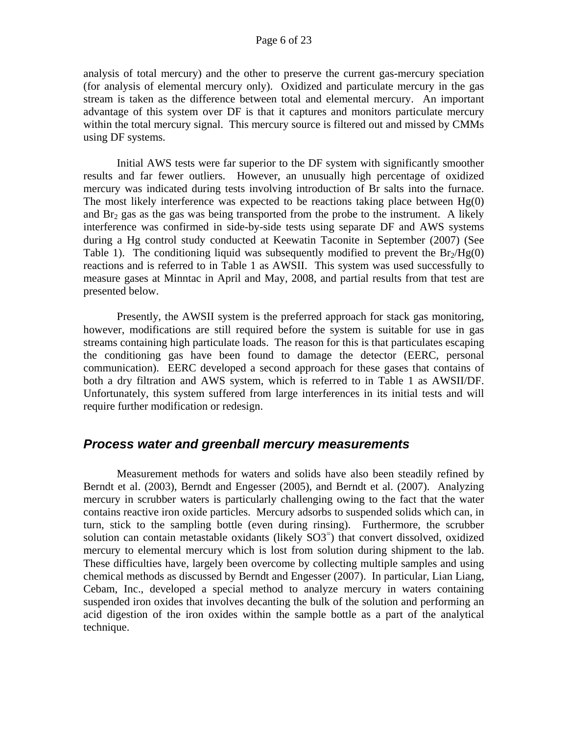analysis of total mercury) and the other to preserve the current gas-mercury speciation (for analysis of elemental mercury only). Oxidized and particulate mercury in the gas stream is taken as the difference between total and elemental mercury. An important advantage of this system over DF is that it captures and monitors particulate mercury within the total mercury signal. This mercury source is filtered out and missed by CMMs using DF systems.

Initial AWS tests were far superior to the DF system with significantly smoother results and far fewer outliers. However, an unusually high percentage of oxidized mercury was indicated during tests involving introduction of Br salts into the furnace. The most likely interference was expected to be reactions taking place between  $Hg(0)$ and  $Br<sub>2</sub>$  gas as the gas was being transported from the probe to the instrument. A likely interference was confirmed in side-by-side tests using separate DF and AWS systems during a Hg control study conducted at Keewatin Taconite in September (2007) (See Table 1). The conditioning liquid was subsequently modified to prevent the  $Br<sub>2</sub>/Hg(0)$ reactions and is referred to in Table 1 as AWSII. This system was used successfully to measure gases at Minntac in April and May, 2008, and partial results from that test are presented below.

Presently, the AWSII system is the preferred approach for stack gas monitoring, however, modifications are still required before the system is suitable for use in gas streams containing high particulate loads. The reason for this is that particulates escaping the conditioning gas have been found to damage the detector (EERC, personal communication). EERC developed a second approach for these gases that contains of both a dry filtration and AWS system, which is referred to in Table 1 as AWSII/DF. Unfortunately, this system suffered from large interferences in its initial tests and will require further modification or redesign.

### <span id="page-5-0"></span>*Process water and greenball mercury measurements*

Measurement methods for waters and solids have also been steadily refined by Berndt et al. (2003), Berndt and Engesser (2005), and Berndt et al. (2007). Analyzing mercury in scrubber waters is particularly challenging owing to the fact that the water contains reactive iron oxide particles. Mercury adsorbs to suspended solids which can, in turn, stick to the sampling bottle (even during rinsing). Furthermore, the scrubber solution can contain metastable oxidants (likely SO3<sup>-</sup>) that convert dissolved, oxidized mercury to elemental mercury which is lost from solution during shipment to the lab. These difficulties have, largely been overcome by collecting multiple samples and using chemical methods as discussed by Berndt and Engesser (2007). In particular, Lian Liang, Cebam, Inc., developed a special method to analyze mercury in waters containing suspended iron oxides that involves decanting the bulk of the solution and performing an acid digestion of the iron oxides within the sample bottle as a part of the analytical technique.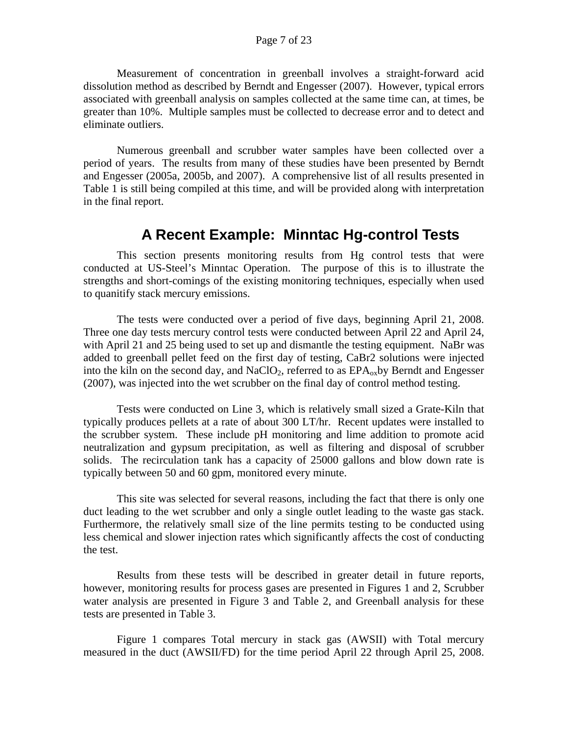Measurement of concentration in greenball involves a straight-forward acid dissolution method as described by Berndt and Engesser (2007). However, typical errors associated with greenball analysis on samples collected at the same time can, at times, be greater than 10%. Multiple samples must be collected to decrease error and to detect and eliminate outliers.

Numerous greenball and scrubber water samples have been collected over a period of years. The results from many of these studies have been presented by Berndt and Engesser (2005a, 2005b, and 2007). A comprehensive list of all results presented in Table 1 is still being compiled at this time, and will be provided along with interpretation in the final report.

## **A Recent Example: Minntac Hg-control Tests**

<span id="page-6-0"></span>This section presents monitoring results from Hg control tests that were conducted at US-Steel's Minntac Operation. The purpose of this is to illustrate the strengths and short-comings of the existing monitoring techniques, especially when used to quanitify stack mercury emissions.

The tests were conducted over a period of five days, beginning April 21, 2008. Three one day tests mercury control tests were conducted between April 22 and April 24, with April 21 and 25 being used to set up and dismantle the testing equipment. NaBr was added to greenball pellet feed on the first day of testing, CaBr2 solutions were injected into the kiln on the second day, and NaClO<sub>2</sub>, referred to as  $EPA<sub>ox</sub>$ by Berndt and Engesser (2007), was injected into the wet scrubber on the final day of control method testing.

 Tests were conducted on Line 3, which is relatively small sized a Grate-Kiln that typically produces pellets at a rate of about 300 LT/hr. Recent updates were installed to the scrubber system. These include pH monitoring and lime addition to promote acid neutralization and gypsum precipitation, as well as filtering and disposal of scrubber solids. The recirculation tank has a capacity of 25000 gallons and blow down rate is typically between 50 and 60 gpm, monitored every minute.

 This site was selected for several reasons, including the fact that there is only one duct leading to the wet scrubber and only a single outlet leading to the waste gas stack. Furthermore, the relatively small size of the line permits testing to be conducted using less chemical and slower injection rates which significantly affects the cost of conducting the test.

Results from these tests will be described in greater detail in future reports, however, monitoring results for process gases are presented in Figures 1 and 2, Scrubber water analysis are presented in Figure 3 and Table 2, and Greenball analysis for these tests are presented in Table 3.

Figure 1 compares Total mercury in stack gas (AWSII) with Total mercury measured in the duct (AWSII/FD) for the time period April 22 through April 25, 2008.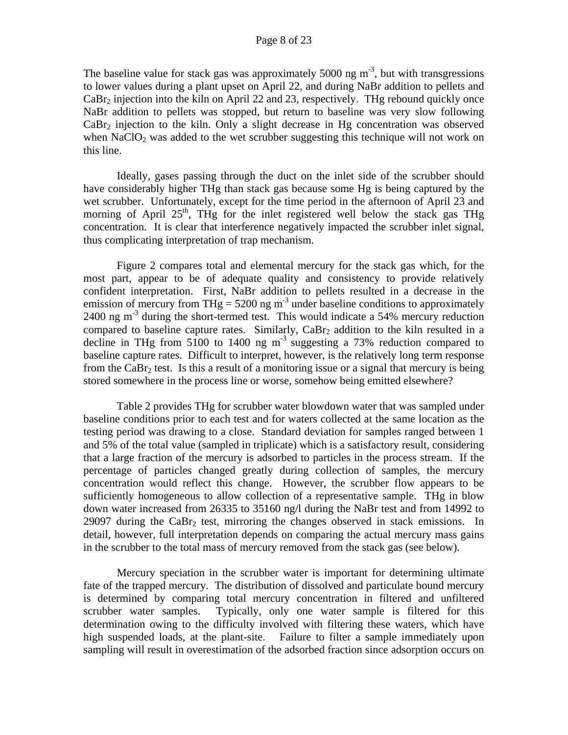The baseline value for stack gas was approximately 5000 ng  $m<sup>-3</sup>$ , but with transgressions to lower values during a plant upset on April 22, and during NaBr addition to pellets and  $CaBr<sub>2</sub>$  injection into the kiln on April 22 and 23, respectively. THg rebound quickly once NaBr addition to pellets was stopped, but return to baseline was very slow following  $CaBr<sub>2</sub>$  injection to the kiln. Only a slight decrease in Hg concentration was observed when NaClO<sub>2</sub> was added to the wet scrubber suggesting this technique will not work on this line.

Ideally, gases passing through the duct on the inlet side of the scrubber should have considerably higher THg than stack gas because some Hg is being captured by the wet scrubber. Unfortunately, except for the time period in the afternoon of April 23 and morning of April  $25<sup>th</sup>$ , THg for the inlet registered well below the stack gas THg concentration. It is clear that interference negatively impacted the scrubber inlet signal, thus complicating interpretation of trap mechanism.

Figure 2 compares total and elemental mercury for the stack gas which, for the most part, appear to be of adequate quality and consistency to provide relatively confident interpretation. First, NaBr addition to pellets resulted in a decrease in the emission of mercury from THg =  $5200$  ng m<sup>-3</sup> under baseline conditions to approximately 2400 ng  $m<sup>-3</sup>$  during the short-termed test. This would indicate a 54% mercury reduction compared to baseline capture rates. Similarly,  $CaBr<sub>2</sub>$  addition to the kiln resulted in a decline in THg from 5100 to 1400 ng  $m<sup>3</sup>$  suggesting a 73% reduction compared to baseline capture rates. Difficult to interpret, however, is the relatively long term response from the CaBr<sub>2</sub> test. Is this a result of a monitoring issue or a signal that mercury is being stored somewhere in the process line or worse, somehow being emitted elsewhere?

Table 2 provides THg for scrubber water blowdown water that was sampled under baseline conditions prior to each test and for waters collected at the same location as the testing period was drawing to a close. Standard deviation for samples ranged between 1 and 5% of the total value (sampled in triplicate) which is a satisfactory result, considering that a large fraction of the mercury is adsorbed to particles in the process stream. If the percentage of particles changed greatly during collection of samples, the mercury concentration would reflect this change. However, the scrubber flow appears to be sufficiently homogeneous to allow collection of a representative sample. THg in blow down water increased from 26335 to 35160 ng/l during the NaBr test and from 14992 to 29097 during the CaBr<sub>2</sub> test, mirroring the changes observed in stack emissions. In detail, however, full interpretation depends on comparing the actual mercury mass gains in the scrubber to the total mass of mercury removed from the stack gas (see below).

Mercury speciation in the scrubber water is important for determining ultimate fate of the trapped mercury. The distribution of dissolved and particulate bound mercury is determined by comparing total mercury concentration in filtered and unfiltered scrubber water samples. Typically, only one water sample is filtered for this determination owing to the difficulty involved with filtering these waters, which have high suspended loads, at the plant-site. Failure to filter a sample immediately upon sampling will result in overestimation of the adsorbed fraction since adsorption occurs on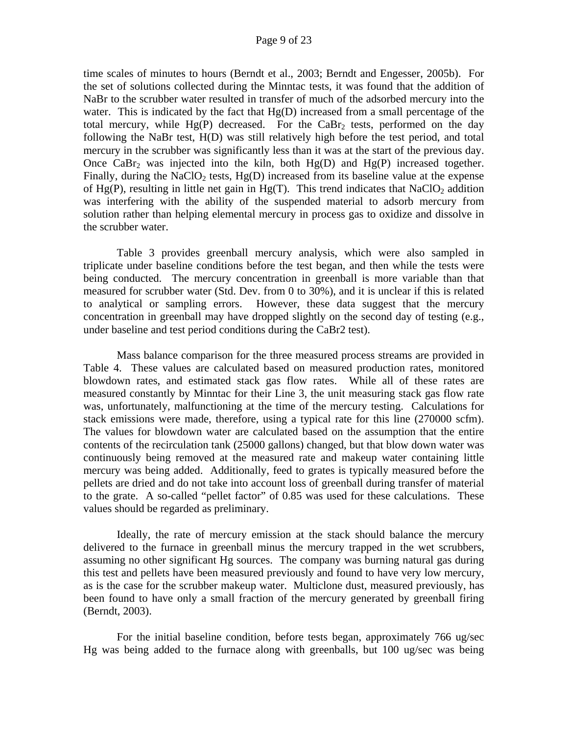#### Page 9 of 23

time scales of minutes to hours (Berndt et al., 2003; Berndt and Engesser, 2005b). For the set of solutions collected during the Minntac tests, it was found that the addition of NaBr to the scrubber water resulted in transfer of much of the adsorbed mercury into the water. This is indicated by the fact that  $Hg(D)$  increased from a small percentage of the total mercury, while  $Hg(P)$  decreased. For the CaBr<sub>2</sub> tests, performed on the day following the NaBr test, H(D) was still relatively high before the test period, and total mercury in the scrubber was significantly less than it was at the start of the previous day. Once CaBr<sub>2</sub> was injected into the kiln, both  $Hg(D)$  and  $Hg(P)$  increased together. Finally, during the NaClO<sub>2</sub> tests,  $Hg(D)$  increased from its baseline value at the expense of Hg(P), resulting in little net gain in Hg(T). This trend indicates that  $NaClO<sub>2</sub>$  addition was interfering with the ability of the suspended material to adsorb mercury from solution rather than helping elemental mercury in process gas to oxidize and dissolve in the scrubber water.

Table 3 provides greenball mercury analysis, which were also sampled in triplicate under baseline conditions before the test began, and then while the tests were being conducted. The mercury concentration in greenball is more variable than that measured for scrubber water (Std. Dev. from 0 to 30%), and it is unclear if this is related to analytical or sampling errors. However, these data suggest that the mercury concentration in greenball may have dropped slightly on the second day of testing (e.g., under baseline and test period conditions during the CaBr2 test).

Mass balance comparison for the three measured process streams are provided in Table 4. These values are calculated based on measured production rates, monitored blowdown rates, and estimated stack gas flow rates. While all of these rates are measured constantly by Minntac for their Line 3, the unit measuring stack gas flow rate was, unfortunately, malfunctioning at the time of the mercury testing. Calculations for stack emissions were made, therefore, using a typical rate for this line (270000 scfm). The values for blowdown water are calculated based on the assumption that the entire contents of the recirculation tank (25000 gallons) changed, but that blow down water was continuously being removed at the measured rate and makeup water containing little mercury was being added. Additionally, feed to grates is typically measured before the pellets are dried and do not take into account loss of greenball during transfer of material to the grate. A so-called "pellet factor" of 0.85 was used for these calculations. These values should be regarded as preliminary.

Ideally, the rate of mercury emission at the stack should balance the mercury delivered to the furnace in greenball minus the mercury trapped in the wet scrubbers, assuming no other significant Hg sources. The company was burning natural gas during this test and pellets have been measured previously and found to have very low mercury, as is the case for the scrubber makeup water. Multiclone dust, measured previously, has been found to have only a small fraction of the mercury generated by greenball firing (Berndt, 2003).

For the initial baseline condition, before tests began, approximately 766 ug/sec Hg was being added to the furnace along with greenballs, but 100 ug/sec was being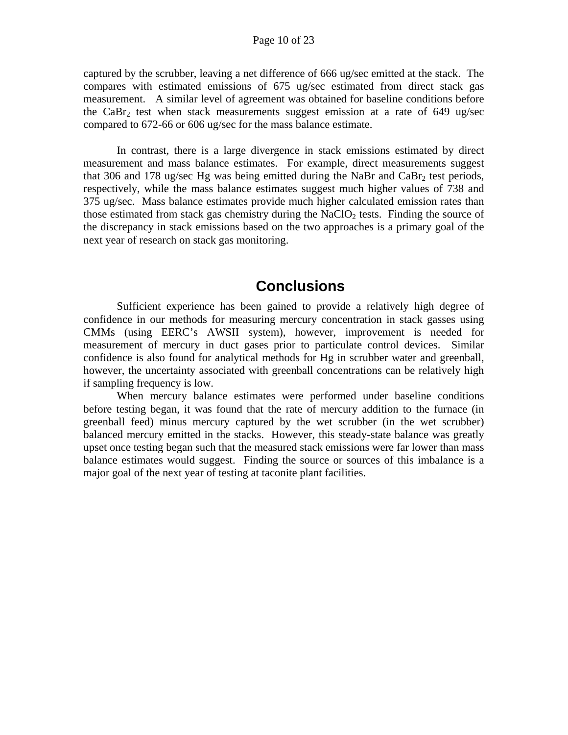captured by the scrubber, leaving a net difference of 666 ug/sec emitted at the stack. The compares with estimated emissions of 675 ug/sec estimated from direct stack gas measurement. A similar level of agreement was obtained for baseline conditions before the CaBr<sub>2</sub> test when stack measurements suggest emission at a rate of 649 ug/sec compared to 672-66 or 606 ug/sec for the mass balance estimate.

In contrast, there is a large divergence in stack emissions estimated by direct measurement and mass balance estimates. For example, direct measurements suggest that 306 and 178 ug/sec Hg was being emitted during the NaBr and CaBr<sub>2</sub> test periods, respectively, while the mass balance estimates suggest much higher values of 738 and 375 ug/sec. Mass balance estimates provide much higher calculated emission rates than those estimated from stack gas chemistry during the NaClO<sub>2</sub> tests. Finding the source of the discrepancy in stack emissions based on the two approaches is a primary goal of the next year of research on stack gas monitoring.

## **Conclusions**

<span id="page-9-0"></span>Sufficient experience has been gained to provide a relatively high degree of confidence in our methods for measuring mercury concentration in stack gasses using CMMs (using EERC's AWSII system), however, improvement is needed for measurement of mercury in duct gases prior to particulate control devices. Similar confidence is also found for analytical methods for Hg in scrubber water and greenball, however, the uncertainty associated with greenball concentrations can be relatively high if sampling frequency is low.

When mercury balance estimates were performed under baseline conditions before testing began, it was found that the rate of mercury addition to the furnace (in greenball feed) minus mercury captured by the wet scrubber (in the wet scrubber) balanced mercury emitted in the stacks. However, this steady-state balance was greatly upset once testing began such that the measured stack emissions were far lower than mass balance estimates would suggest. Finding the source or sources of this imbalance is a major goal of the next year of testing at taconite plant facilities.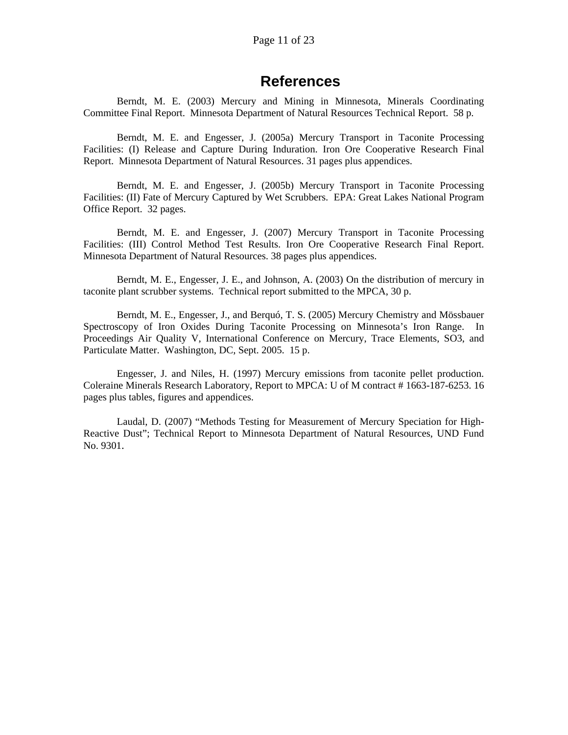## **References**

<span id="page-10-0"></span>Berndt, M. E. (2003) Mercury and Mining in Minnesota, Minerals Coordinating Committee Final Report. Minnesota Department of Natural Resources Technical Report. 58 p.

Berndt, M. E. and Engesser, J. (2005a) Mercury Transport in Taconite Processing Facilities: (I) Release and Capture During Induration. Iron Ore Cooperative Research Final Report. Minnesota Department of Natural Resources. 31 pages plus appendices.

Berndt, M. E. and Engesser, J. (2005b) Mercury Transport in Taconite Processing Facilities: (II) Fate of Mercury Captured by Wet Scrubbers. EPA: Great Lakes National Program Office Report. 32 pages.

Berndt, M. E. and Engesser, J. (2007) Mercury Transport in Taconite Processing Facilities: (III) Control Method Test Results. Iron Ore Cooperative Research Final Report. Minnesota Department of Natural Resources. 38 pages plus appendices.

Berndt, M. E., Engesser, J. E., and Johnson, A. (2003) On the distribution of mercury in taconite plant scrubber systems. Technical report submitted to the MPCA, 30 p.

Berndt, M. E., Engesser, J., and Berquó, T. S. (2005) Mercury Chemistry and Mössbauer Spectroscopy of Iron Oxides During Taconite Processing on Minnesota's Iron Range. In Proceedings Air Quality V, International Conference on Mercury, Trace Elements, SO3, and Particulate Matter. Washington, DC, Sept. 2005. 15 p.

Engesser, J. and Niles, H. (1997) Mercury emissions from taconite pellet production. Coleraine Minerals Research Laboratory, Report to MPCA: U of M contract # 1663-187-6253. 16 pages plus tables, figures and appendices.

Laudal, D. (2007) "Methods Testing for Measurement of Mercury Speciation for High-Reactive Dust"; Technical Report to Minnesota Department of Natural Resources, UND Fund No. 9301.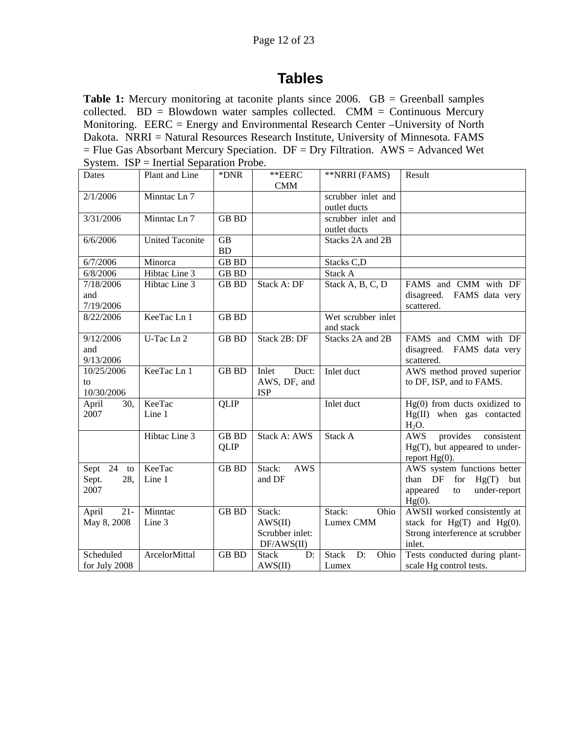## **Tables**

<span id="page-11-0"></span>**Table 1:** Mercury monitoring at taconite plants since 2006. GB = Greenball samples collected.  $BD = Blowdown water samples collected. CMM = Continuous Mercury$ Monitoring. EERC = Energy and Environmental Research Center –University of North Dakota. NRRI = Natural Resources Research Institute, University of Minnesota. FAMS  $=$  Flue Gas Absorbant Mercury Speciation. DF  $=$  Dry Filtration. AWS  $=$  Advanced Wet System. ISP = Inertial Separation Probe.

| Dates           | Plant and Line         | *DNR         | $*EERC$              | **NRRI (FAMS)              | Result                               |
|-----------------|------------------------|--------------|----------------------|----------------------------|--------------------------------------|
|                 |                        |              | <b>CMM</b>           |                            |                                      |
| 2/1/2006        | Minntac Ln 7           |              |                      | scrubber inlet and         |                                      |
|                 |                        |              |                      | outlet ducts               |                                      |
| 3/31/2006       | Minntac Ln 7           | <b>GB BD</b> |                      | scrubber inlet and         |                                      |
|                 |                        |              |                      | outlet ducts               |                                      |
| 6/6/2006        | <b>United Taconite</b> | <b>GB</b>    |                      | Stacks 2A and 2B           |                                      |
|                 |                        | <b>BD</b>    |                      |                            |                                      |
| 6/7/2006        | Minorca                | <b>GB BD</b> |                      | Stacks C,D                 |                                      |
| 6/8/2006        | Hibtac Line 3          | <b>GB BD</b> |                      | Stack A                    |                                      |
| 7/18/2006       | Hibtac Line 3          | <b>GB BD</b> | Stack A: DF          | Stack A, B, C, D           | FAMS and CMM with DF                 |
| and             |                        |              |                      |                            | disagreed.<br>FAMS data very         |
| 7/19/2006       |                        |              |                      |                            | scattered.                           |
| 8/22/2006       | KeeTac Ln 1            | <b>GB BD</b> |                      | Wet scrubber inlet         |                                      |
|                 |                        |              |                      | and stack                  |                                      |
| 9/12/2006       | U-Tac Ln 2             | <b>GB BD</b> | Stack 2B: DF         | Stacks 2A and 2B           | FAMS and CMM with DF                 |
| and             |                        |              |                      |                            | disagreed.<br>FAMS data very         |
| 9/13/2006       |                        |              |                      |                            | scattered.                           |
| 10/25/2006      | KeeTac Ln 1            | <b>GB BD</b> | Inlet<br>Duct:       | Inlet duct                 | AWS method proved superior           |
| to              |                        |              | AWS, DF, and         |                            | to DF, ISP, and to FAMS.             |
| 10/30/2006      |                        |              | <b>ISP</b>           |                            |                                      |
| April<br>30,    | KeeTac                 | <b>QLIP</b>  |                      | Inlet duct                 | $Hg(0)$ from ducts oxidized to       |
| 2007            | Line 1                 |              |                      |                            | $Hg(II)$ when gas contacted          |
|                 |                        |              |                      |                            | $H_2O.$                              |
|                 | Hibtac Line 3          | <b>GB BD</b> | Stack A: AWS         | Stack A                    | <b>AWS</b><br>provides<br>consistent |
|                 |                        | <b>QLIP</b>  |                      |                            | $Hg(T)$ , but appeared to under-     |
|                 |                        |              |                      |                            | report $Hg(0)$ .                     |
| Sept 24<br>to   | KeeTac                 | <b>GB BD</b> | <b>AWS</b><br>Stack: |                            | AWS system functions better          |
| 28,<br>Sept.    | Line 1                 |              | and DF               |                            | than DF<br>for<br>$Hg(T)$ but        |
| 2007            |                        |              |                      |                            | appeared<br>under-report<br>to       |
|                 |                        |              |                      |                            | $Hg(0)$ .                            |
| $21 -$<br>April | Minntac                | <b>GB BD</b> | Stack:               | Stack:<br>Ohio             | AWSII worked consistently at         |
| May 8, 2008     | Line 3                 |              | AWS(II)              | Lumex CMM                  | stack for $Hg(T)$ and $Hg(0)$ .      |
|                 |                        |              | Scrubber inlet:      |                            | Strong interference at scrubber      |
|                 |                        |              | DF/AWS(II)           |                            | inlet.                               |
| Scheduled       | ArcelorMittal          | <b>GB BD</b> | <b>Stack</b><br>D:   | <b>Stack</b><br>D:<br>Ohio | Tests conducted during plant-        |
| for July 2008   |                        |              | AWS(II)              | Lumex                      | scale Hg control tests.              |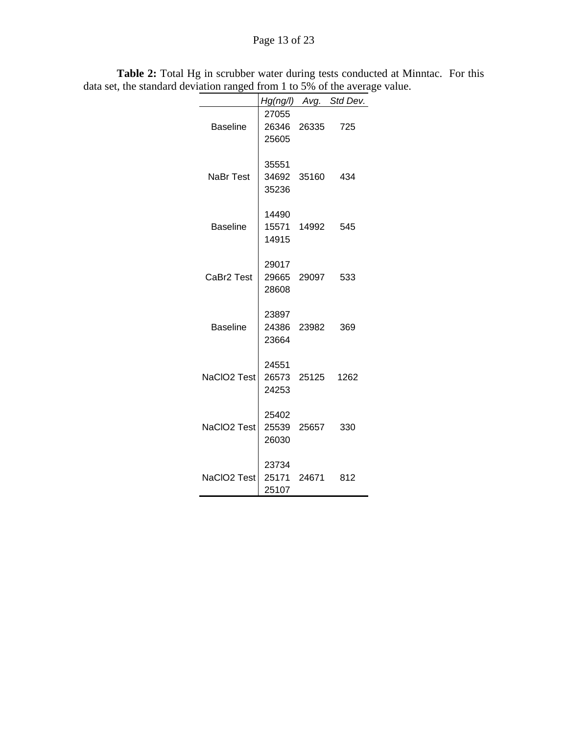## Page 13 of 23

|                        |                               |       | Hg(ng/l) Avg. Std Dev. |
|------------------------|-------------------------------|-------|------------------------|
| <b>Baseline</b>        | 27055<br>26346<br>25605       | 26335 | 725                    |
| <b>NaBr Test</b>       | 35551<br>34692 35160<br>35236 |       | 434                    |
| <b>Baseline</b>        | 14490<br>15571 14992<br>14915 |       | 545                    |
| CaBr <sub>2</sub> Test | 29017<br>29665<br>28608       | 29097 | 533                    |
| <b>Baseline</b>        | 23897<br>24386<br>23664       | 23982 | 369                    |
| NaCIO2 Test            | 24551<br>26573 25125<br>24253 |       | 1262                   |
| NaCIO2 Test            | 25402<br>25539 25657<br>26030 |       | 330                    |
| NaCIO2 Test            | 23734<br>25171<br>25107       | 24671 | 812                    |

**Table 2:** Total Hg in scrubber water during tests conducted at Minntac. For this data set, the standard deviation ranged from 1 to 5% of the average value.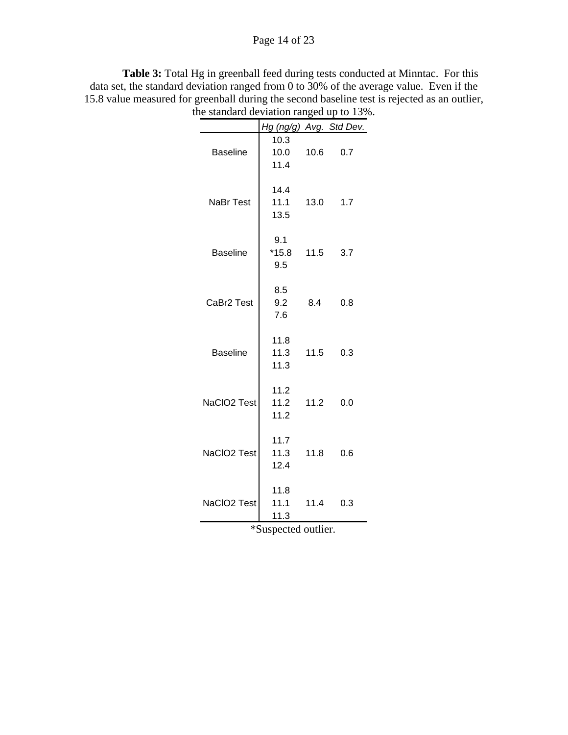### Page 14 of 23

**Table 3:** Total Hg in greenball feed during tests conducted at Minntac. For this data set, the standard deviation ranged from 0 to 30% of the average value. Even if the 15.8 value measured for greenball during the second baseline test is rejected as an outlier, the standard deviation ranged up to 13%.

|                        | Hg (ng/g) Avg. Std Dev. |      |          |
|------------------------|-------------------------|------|----------|
|                        | 10.3                    |      |          |
| <b>Baseline</b>        | 10.0                    | 10.6 | 0.7      |
|                        | 11.4                    |      |          |
|                        |                         |      |          |
|                        | 14.4                    |      |          |
| <b>NaBr Test</b>       | 11.1                    | 13.0 | 1.7      |
|                        | 13.5                    |      |          |
|                        |                         |      |          |
|                        | 9.1                     |      |          |
| <b>Baseline</b>        | $*15.8$ 11.5            |      | 3.7      |
|                        | 9.5                     |      |          |
|                        |                         |      |          |
|                        | 8.5                     |      |          |
| CaBr <sub>2</sub> Test | 9.2                     | 8.4  | 0.8      |
|                        | 7.6                     |      |          |
|                        |                         |      |          |
|                        | 11.8                    |      |          |
| <b>Baseline</b>        | 11.3                    | 11.5 | 0.3      |
|                        | 11.3                    |      |          |
|                        |                         |      |          |
|                        | 11.2                    |      |          |
| NaCIO2 Test            | 11.2                    | 11.2 | 0.0      |
|                        | 11.2                    |      |          |
|                        |                         |      |          |
|                        | 11.7                    |      |          |
| NaCIO2 Test            | 11.3                    | 11.8 | 0.6      |
|                        | 12.4                    |      |          |
|                        |                         |      |          |
|                        | 11.8                    |      |          |
| NaCIO2 Test            | 11.1                    |      | 11.4 0.3 |
|                        | 11.3                    |      |          |
|                        |                         |      |          |
|                        | *Suspected outlier.     |      |          |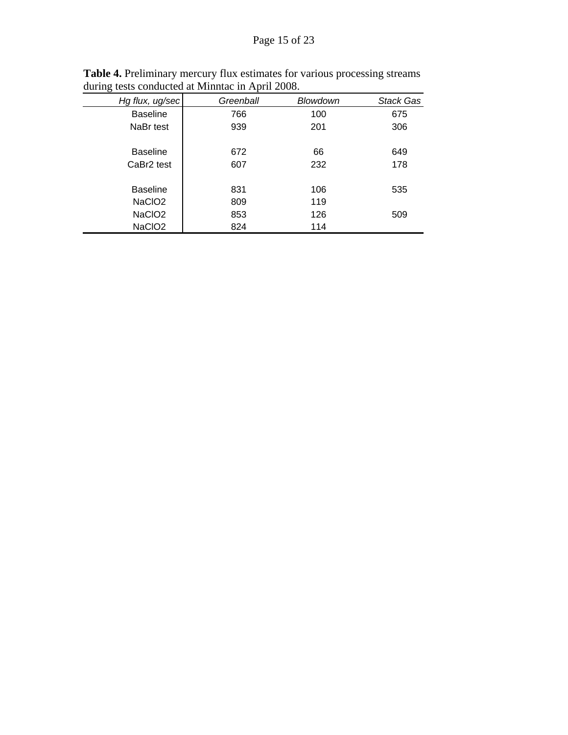| Hg flux, ug/sec        | Greenball | Blowdown | <b>Stack Gas</b> |
|------------------------|-----------|----------|------------------|
| <b>Baseline</b>        | 766       | 100      | 675              |
| NaBr test              | 939       | 201      | 306              |
|                        |           |          |                  |
| <b>Baseline</b>        | 672       | 66       | 649              |
| CaBr <sub>2</sub> test | 607       | 232      | 178              |
|                        |           |          |                  |
| <b>Baseline</b>        | 831       | 106      | 535              |
| NaCIO <sub>2</sub>     | 809       | 119      |                  |
| NaCIO <sub>2</sub>     | 853       | 126      | 509              |
| NaCIO <sub>2</sub>     | 824       | 114      |                  |

**Table 4.** Preliminary mercury flux estimates for various processing streams during tests conducted at Minntac in April 2008.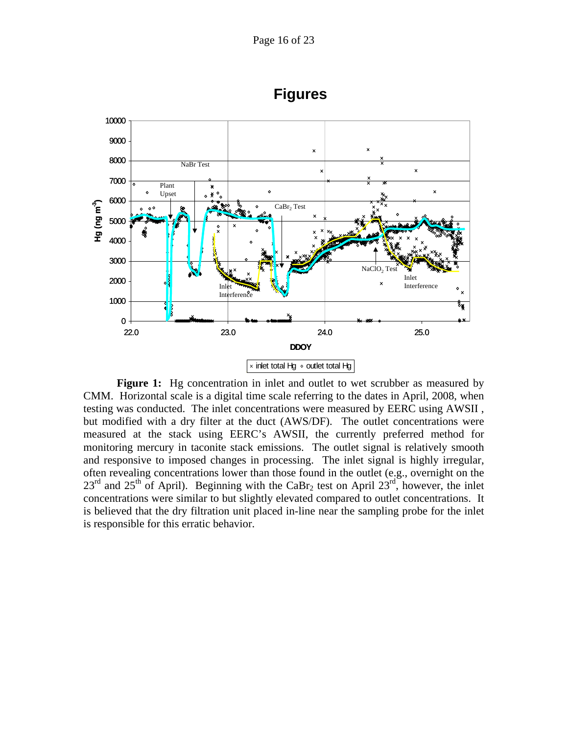<span id="page-15-0"></span>

**Figures** 

**Figure 1:** Hg concentration in inlet and outlet to wet scrubber as measured by CMM. Horizontal scale is a digital time scale referring to the dates in April, 2008, when testing was conducted. The inlet concentrations were measured by EERC using AWSII , but modified with a dry filter at the duct (AWS/DF). The outlet concentrations were measured at the stack using EERC's AWSII, the currently preferred method for monitoring mercury in taconite stack emissions. The outlet signal is relatively smooth and responsive to imposed changes in processing. The inlet signal is highly irregular, often revealing concentrations lower than those found in the outlet (e.g., overnight on the  $23<sup>rd</sup>$  and  $25<sup>th</sup>$  of April). Beginning with the CaBr<sub>2</sub> test on April  $23<sup>rd</sup>$ , however, the inlet concentrations were similar to but slightly elevated compared to outlet concentrations. It is believed that the dry filtration unit placed in-line near the sampling probe for the inlet is responsible for this erratic behavior.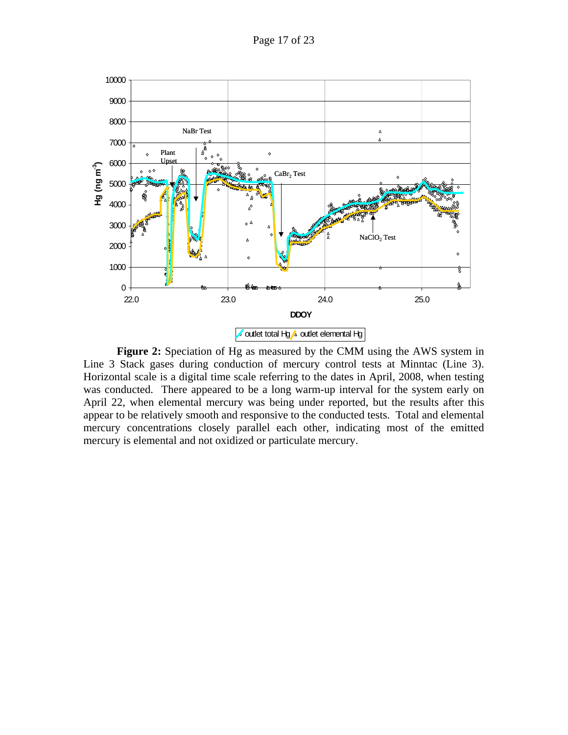

**Figure 2:** Speciation of Hg as measured by the CMM using the AWS system in Line 3 Stack gases during conduction of mercury control tests at Minntac (Line 3). Horizontal scale is a digital time scale referring to the dates in April, 2008, when testing was conducted. There appeared to be a long warm-up interval for the system early on April 22, when elemental mercury was being under reported, but the results after this appear to be relatively smooth and responsive to the conducted tests. Total and elemental mercury concentrations closely parallel each other, indicating most of the emitted mercury is elemental and not oxidized or particulate mercury.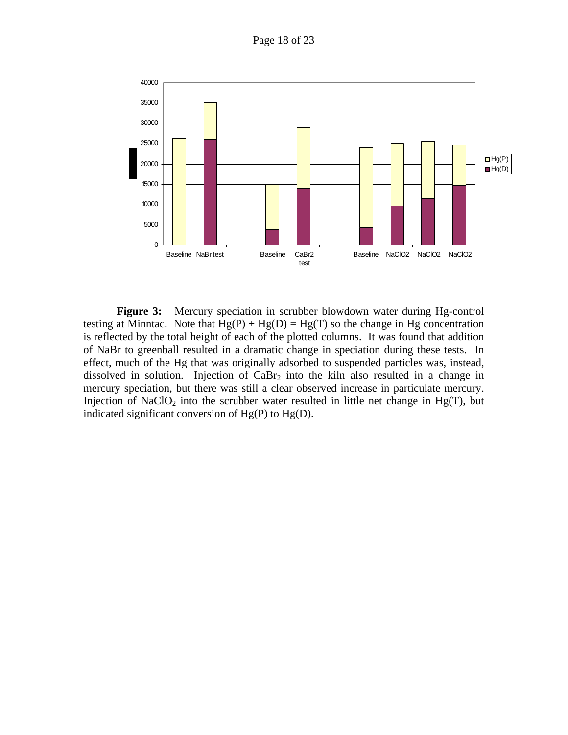Page 18 of 23



**Figure 3:** Mercury speciation in scrubber blowdown water during Hg-control testing at Minntac. Note that  $Hg(P) + Hg(D) = Hg(T)$  so the change in Hg concentration is reflected by the total height of each of the plotted columns. It was found that addition of NaBr to greenball resulted in a dramatic change in speciation during these tests. In effect, much of the Hg that was originally adsorbed to suspended particles was, instead, dissolved in solution. Injection of  $CaBr<sub>2</sub>$  into the kiln also resulted in a change in mercury speciation, but there was still a clear observed increase in particulate mercury. Injection of NaClO<sub>2</sub> into the scrubber water resulted in little net change in Hg(T), but indicated significant conversion of  $Hg(P)$  to  $Hg(D)$ .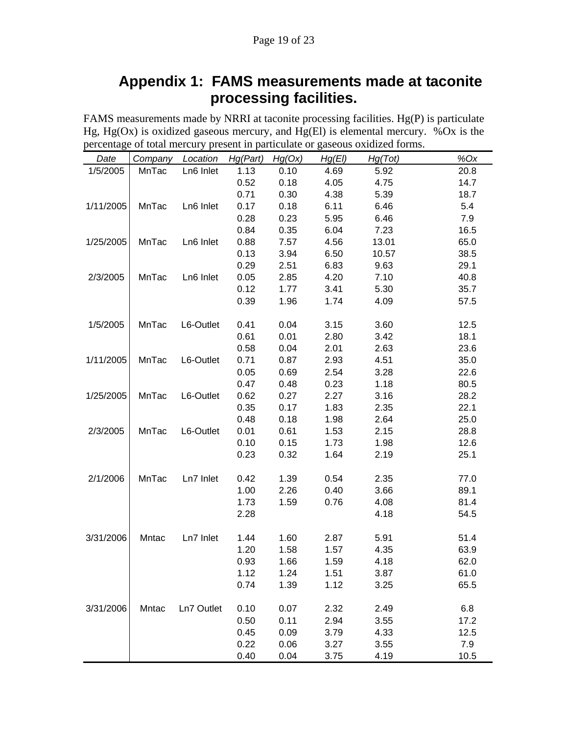### Page 19 of 23

# **Appendix 1: FAMS measurements made at taconite processing facilities.**

<span id="page-18-0"></span>FAMS measurements made by NRRI at taconite processing facilities. Hg(P) is particulate Hg, Hg(Ox) is oxidized gaseous mercury, and Hg(El) is elemental mercury. %Ox is the percentage of total mercury present in particulate or gaseous oxidized forms.

| Date      | Company | Location   | Hg(Part)     | Hg(Ox)       | Hg(EI)       | Hg(Tot)      | $%$ Ox       |
|-----------|---------|------------|--------------|--------------|--------------|--------------|--------------|
| 1/5/2005  | MnTac   | Ln6 Inlet  | 1.13         | 0.10         | 4.69         | 5.92         | 20.8         |
|           |         |            | 0.52         | 0.18         | 4.05         | 4.75         | 14.7         |
|           |         |            | 0.71         | 0.30         | 4.38         | 5.39         | 18.7         |
| 1/11/2005 | MnTac   | Ln6 Inlet  | 0.17         | 0.18         | 6.11         | 6.46         | 5.4          |
|           |         |            | 0.28         | 0.23         | 5.95         | 6.46         | 7.9          |
|           |         |            | 0.84         | 0.35         | 6.04         | 7.23         | 16.5         |
| 1/25/2005 | MnTac   | Ln6 Inlet  | 0.88         | 7.57         | 4.56         | 13.01        | 65.0         |
|           |         |            | 0.13         | 3.94         | 6.50         | 10.57        | 38.5         |
|           |         |            | 0.29         | 2.51         | 6.83         | 9.63         | 29.1         |
| 2/3/2005  | MnTac   | Ln6 Inlet  | 0.05         | 2.85         | 4.20         | 7.10         | 40.8         |
|           |         |            | 0.12         | 1.77         | 3.41         | 5.30         | 35.7         |
|           |         |            | 0.39         | 1.96         | 1.74         | 4.09         | 57.5         |
|           |         |            |              |              |              |              |              |
| 1/5/2005  | MnTac   | L6-Outlet  | 0.41<br>0.61 | 0.04<br>0.01 | 3.15<br>2.80 | 3.60<br>3.42 | 12.5<br>18.1 |
|           |         |            | 0.58         | 0.04         | 2.01         |              | 23.6         |
| 1/11/2005 | MnTac   | L6-Outlet  | 0.71         | 0.87         | 2.93         | 2.63<br>4.51 | 35.0         |
|           |         |            | 0.05         | 0.69         | 2.54         | 3.28         | 22.6         |
|           |         |            | 0.47         | 0.48         | 0.23         | 1.18         | 80.5         |
| 1/25/2005 | MnTac   | L6-Outlet  | 0.62         | 0.27         | 2.27         | 3.16         | 28.2         |
|           |         |            | 0.35         | 0.17         | 1.83         | 2.35         | 22.1         |
|           |         |            | 0.48         | 0.18         | 1.98         | 2.64         | 25.0         |
| 2/3/2005  | MnTac   | L6-Outlet  | 0.01         | 0.61         | 1.53         | 2.15         | 28.8         |
|           |         |            | 0.10         | 0.15         | 1.73         | 1.98         | 12.6         |
|           |         |            | 0.23         | 0.32         | 1.64         | 2.19         | 25.1         |
|           |         |            |              |              |              |              |              |
| 2/1/2006  | MnTac   | Ln7 Inlet  | 0.42         | 1.39         | 0.54         | 2.35         | 77.0         |
|           |         |            | 1.00         | 2.26         | 0.40         | 3.66         | 89.1         |
|           |         |            | 1.73         | 1.59         | 0.76         | 4.08         | 81.4         |
|           |         |            | 2.28         |              |              | 4.18         | 54.5         |
|           |         | Ln7 Inlet  |              |              |              |              | 51.4         |
| 3/31/2006 | Mntac   |            | 1.44<br>1.20 | 1.60<br>1.58 | 2.87<br>1.57 | 5.91<br>4.35 | 63.9         |
|           |         |            | 0.93         | 1.66         | 1.59         | 4.18         | 62.0         |
|           |         |            | 1.12         | 1.24         | 1.51         | 3.87         | 61.0         |
|           |         |            | 0.74         | 1.39         | 1.12         | 3.25         | 65.5         |
|           |         |            |              |              |              |              |              |
| 3/31/2006 | Mntac   | Ln7 Outlet | 0.10         | 0.07         | 2.32         | 2.49         | 6.8          |
|           |         |            | 0.50         | 0.11         | 2.94         | 3.55         | 17.2         |
|           |         |            | 0.45         | 0.09         | 3.79         | 4.33         | 12.5         |
|           |         |            | 0.22         | 0.06         | 3.27         | 3.55         | 7.9          |
|           |         |            | 0.40         | 0.04         | 3.75         | 4.19         | 10.5         |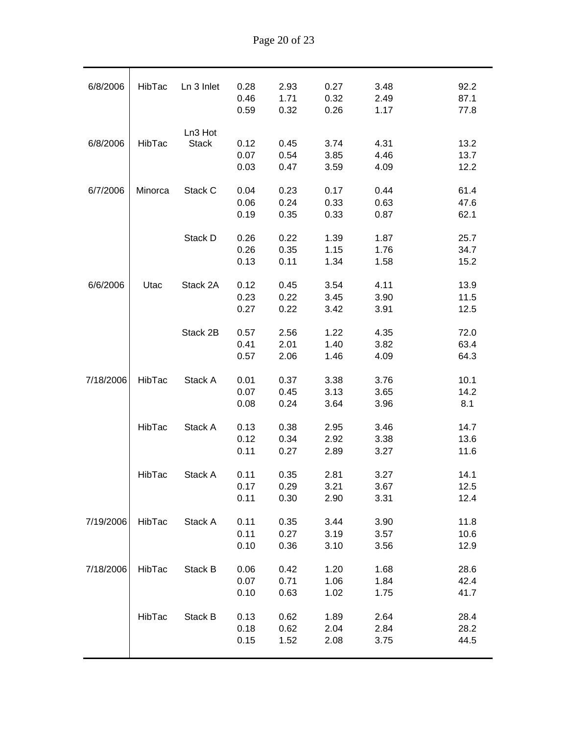| 6/8/2006  | HibTac  | Ln 3 Inlet   | 0.28 | 2.93 | 0.27 | 3.48 | 92.2 |
|-----------|---------|--------------|------|------|------|------|------|
|           |         |              | 0.46 | 1.71 | 0.32 | 2.49 | 87.1 |
|           |         |              | 0.59 | 0.32 | 0.26 | 1.17 | 77.8 |
|           |         |              |      |      |      |      |      |
|           |         | Ln3 Hot      |      |      |      |      |      |
| 6/8/2006  | HibTac  | <b>Stack</b> | 0.12 | 0.45 | 3.74 | 4.31 | 13.2 |
|           |         |              | 0.07 | 0.54 | 3.85 | 4.46 | 13.7 |
|           |         |              | 0.03 | 0.47 | 3.59 | 4.09 | 12.2 |
|           |         |              |      |      |      |      |      |
| 6/7/2006  | Minorca | Stack C      | 0.04 | 0.23 | 0.17 | 0.44 | 61.4 |
|           |         |              | 0.06 | 0.24 | 0.33 | 0.63 | 47.6 |
|           |         |              | 0.19 | 0.35 | 0.33 | 0.87 | 62.1 |
|           |         |              |      |      |      |      |      |
|           |         | Stack D      | 0.26 | 0.22 | 1.39 | 1.87 | 25.7 |
|           |         |              | 0.26 | 0.35 | 1.15 | 1.76 | 34.7 |
|           |         |              | 0.13 | 0.11 | 1.34 | 1.58 | 15.2 |
| 6/6/2006  | Utac    | Stack 2A     | 0.12 | 0.45 | 3.54 | 4.11 | 13.9 |
|           |         |              | 0.23 | 0.22 | 3.45 | 3.90 | 11.5 |
|           |         |              | 0.27 | 0.22 | 3.42 | 3.91 | 12.5 |
|           |         |              |      |      |      |      |      |
|           |         | Stack 2B     | 0.57 | 2.56 | 1.22 | 4.35 | 72.0 |
|           |         |              | 0.41 | 2.01 | 1.40 | 3.82 | 63.4 |
|           |         |              | 0.57 | 2.06 | 1.46 | 4.09 | 64.3 |
|           |         |              |      |      |      |      |      |
| 7/18/2006 | HibTac  | Stack A      | 0.01 | 0.37 | 3.38 | 3.76 | 10.1 |
|           |         |              | 0.07 | 0.45 | 3.13 | 3.65 | 14.2 |
|           |         |              | 0.08 | 0.24 | 3.64 | 3.96 | 8.1  |
|           |         |              |      |      |      |      |      |
|           | HibTac  | Stack A      | 0.13 | 0.38 | 2.95 | 3.46 | 14.7 |
|           |         |              | 0.12 | 0.34 | 2.92 | 3.38 | 13.6 |
|           |         |              | 0.11 | 0.27 | 2.89 | 3.27 | 11.6 |
|           | HibTac  | Stack A      | 0.11 | 0.35 | 2.81 | 3.27 | 14.1 |
|           |         |              | 0.17 | 0.29 | 3.21 | 3.67 | 12.5 |
|           |         |              | 0.11 | 0.30 | 2.90 | 3.31 | 12.4 |
|           |         |              |      |      |      |      |      |
| 7/19/2006 | HibTac  | Stack A      | 0.11 | 0.35 | 3.44 | 3.90 | 11.8 |
|           |         |              | 0.11 | 0.27 | 3.19 | 3.57 | 10.6 |
|           |         |              | 0.10 | 0.36 | 3.10 | 3.56 | 12.9 |
|           |         |              |      |      |      |      |      |
| 7/18/2006 | HibTac  | Stack B      | 0.06 | 0.42 | 1.20 | 1.68 | 28.6 |
|           |         |              | 0.07 | 0.71 | 1.06 | 1.84 | 42.4 |
|           |         |              | 0.10 | 0.63 | 1.02 | 1.75 | 41.7 |
|           |         |              |      |      |      |      |      |
|           | HibTac  | Stack B      | 0.13 | 0.62 | 1.89 | 2.64 | 28.4 |
|           |         |              | 0.18 | 0.62 | 2.04 | 2.84 | 28.2 |
|           |         |              | 0.15 | 1.52 | 2.08 | 3.75 | 44.5 |
|           |         |              |      |      |      |      |      |

Page 20 of 23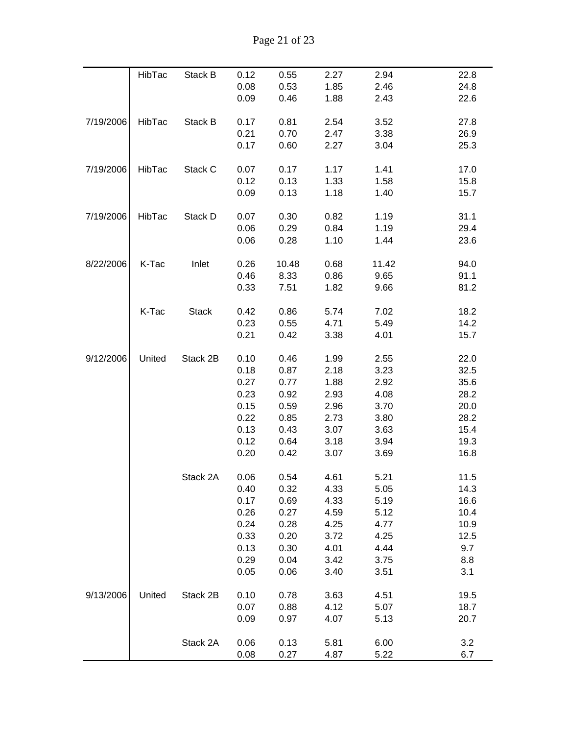| Page 21 of 23 |
|---------------|
|---------------|

|           | HibTac | Stack B      | 0.12 | 0.55  | 2.27 | 2.94  | 22.8 |
|-----------|--------|--------------|------|-------|------|-------|------|
|           |        |              | 0.08 | 0.53  | 1.85 | 2.46  | 24.8 |
|           |        |              | 0.09 | 0.46  | 1.88 | 2.43  | 22.6 |
|           |        |              |      |       |      |       |      |
| 7/19/2006 | HibTac | Stack B      | 0.17 | 0.81  | 2.54 | 3.52  | 27.8 |
|           |        |              | 0.21 | 0.70  | 2.47 | 3.38  | 26.9 |
|           |        |              | 0.17 | 0.60  | 2.27 | 3.04  | 25.3 |
|           |        |              |      |       |      |       |      |
| 7/19/2006 | HibTac | Stack C      | 0.07 | 0.17  | 1.17 | 1.41  | 17.0 |
|           |        |              | 0.12 | 0.13  | 1.33 | 1.58  | 15.8 |
|           |        |              | 0.09 | 0.13  | 1.18 | 1.40  | 15.7 |
|           |        |              |      |       |      |       |      |
| 7/19/2006 | HibTac | Stack D      | 0.07 | 0.30  | 0.82 | 1.19  | 31.1 |
|           |        |              | 0.06 | 0.29  | 0.84 | 1.19  | 29.4 |
|           |        |              | 0.06 | 0.28  | 1.10 | 1.44  | 23.6 |
|           |        |              |      |       |      |       |      |
| 8/22/2006 | K-Tac  | Inlet        | 0.26 | 10.48 | 0.68 | 11.42 | 94.0 |
|           |        |              | 0.46 | 8.33  | 0.86 | 9.65  | 91.1 |
|           |        |              | 0.33 | 7.51  | 1.82 | 9.66  | 81.2 |
|           | K-Tac  | <b>Stack</b> | 0.42 | 0.86  | 5.74 | 7.02  | 18.2 |
|           |        |              | 0.23 | 0.55  | 4.71 | 5.49  | 14.2 |
|           |        |              | 0.21 | 0.42  | 3.38 | 4.01  | 15.7 |
|           |        |              |      |       |      |       |      |
| 9/12/2006 | United | Stack 2B     | 0.10 | 0.46  | 1.99 | 2.55  | 22.0 |
|           |        |              | 0.18 | 0.87  | 2.18 | 3.23  | 32.5 |
|           |        |              | 0.27 | 0.77  | 1.88 | 2.92  | 35.6 |
|           |        |              | 0.23 | 0.92  | 2.93 | 4.08  | 28.2 |
|           |        |              | 0.15 | 0.59  | 2.96 | 3.70  | 20.0 |
|           |        |              | 0.22 | 0.85  | 2.73 | 3.80  | 28.2 |
|           |        |              | 0.13 | 0.43  | 3.07 | 3.63  | 15.4 |
|           |        |              | 0.12 | 0.64  | 3.18 | 3.94  | 19.3 |
|           |        |              | 0.20 | 0.42  | 3.07 | 3.69  | 16.8 |
|           |        |              |      |       |      |       |      |
|           |        | Stack 2A     | 0.06 | 0.54  | 4.61 | 5.21  | 11.5 |
|           |        |              | 0.40 | 0.32  | 4.33 | 5.05  | 14.3 |
|           |        |              | 0.17 | 0.69  | 4.33 | 5.19  | 16.6 |
|           |        |              | 0.26 | 0.27  | 4.59 | 5.12  | 10.4 |
|           |        |              | 0.24 | 0.28  | 4.25 | 4.77  | 10.9 |
|           |        |              | 0.33 | 0.20  | 3.72 | 4.25  | 12.5 |
|           |        |              | 0.13 | 0.30  | 4.01 | 4.44  | 9.7  |
|           |        |              | 0.29 | 0.04  | 3.42 | 3.75  | 8.8  |
|           |        |              | 0.05 | 0.06  | 3.40 | 3.51  | 3.1  |
|           |        |              |      |       |      |       |      |
| 9/13/2006 | United | Stack 2B     | 0.10 | 0.78  | 3.63 | 4.51  | 19.5 |
|           |        |              | 0.07 | 0.88  | 4.12 | 5.07  | 18.7 |
|           |        |              | 0.09 | 0.97  | 4.07 | 5.13  | 20.7 |
|           |        |              |      |       |      |       |      |
|           |        | Stack 2A     | 0.06 | 0.13  | 5.81 | 6.00  | 3.2  |
|           |        |              | 0.08 | 0.27  | 4.87 | 5.22  | 6.7  |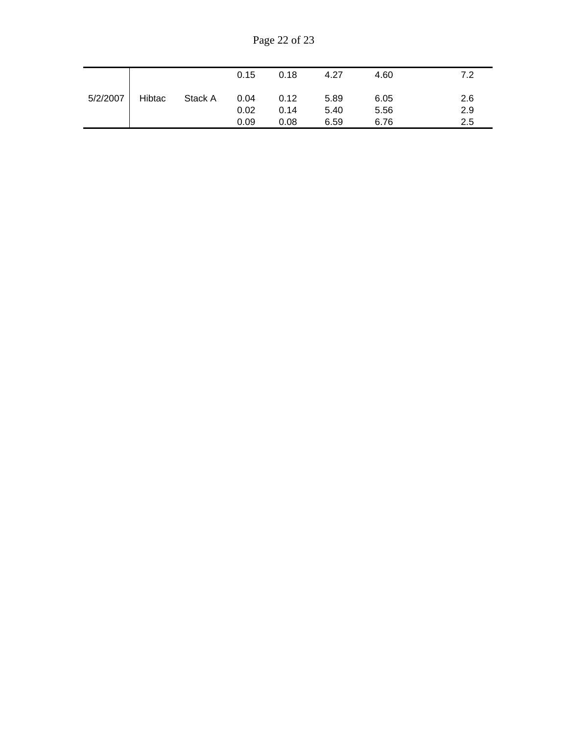Page 22 of 23

|          |        |         | 0.15 | 0.18 | 4.27 | 4.60 | 7.2 |
|----------|--------|---------|------|------|------|------|-----|
| 5/2/2007 | Hibtac | Stack A | 0.04 | 0.12 | 5.89 | 6.05 | 2.6 |
|          |        |         | 0.02 | 0.14 | 5.40 | 5.56 | 2.9 |
|          |        |         | 0.09 | 0.08 | 6.59 | 6.76 | 2.5 |